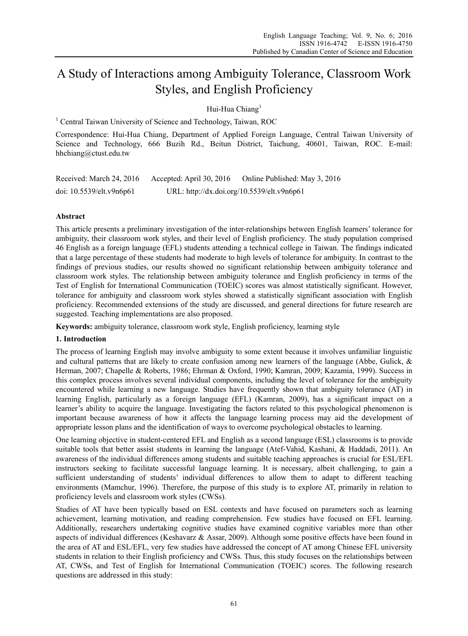# A Study of Interactions among Ambiguity Tolerance, Classroom Work Styles, and English Proficiency

Hui-Hua Chiang<sup>1</sup>

<sup>1</sup> Central Taiwan University of Science and Technology, Taiwan, ROC

Correspondence: Hui-Hua Chiang, Department of Applied Foreign Language, Central Taiwan University of Science and Technology, 666 Buzih Rd., Beitun District, Taichung, 40601, Taiwan, ROC. E-mail: hhchiang@ctust.edu.tw

| Received: March 24, 2016 | Accepted: April 30, 2016                   | Online Published: May 3, 2016 |
|--------------------------|--------------------------------------------|-------------------------------|
| doi: 10.5539/elt.v9n6p61 | URL: http://dx.doi.org/10.5539/elt.v9n6p61 |                               |

# **Abstract**

This article presents a preliminary investigation of the inter-relationships between English learners' tolerance for ambiguity, their classroom work styles, and their level of English proficiency. The study population comprised 46 English as a foreign language (EFL) students attending a technical college in Taiwan. The findings indicated that a large percentage of these students had moderate to high levels of tolerance for ambiguity. In contrast to the findings of previous studies, our results showed no significant relationship between ambiguity tolerance and classroom work styles. The relationship between ambiguity tolerance and English proficiency in terms of the Test of English for International Communication (TOEIC) scores was almost statistically significant. However, tolerance for ambiguity and classroom work styles showed a statistically significant association with English proficiency. Recommended extensions of the study are discussed, and general directions for future research are suggested. Teaching implementations are also proposed.

**Keywords:** ambiguity tolerance, classroom work style, English proficiency, learning style

# **1. Introduction**

The process of learning English may involve ambiguity to some extent because it involves unfamiliar linguistic and cultural patterns that are likely to create confusion among new learners of the language (Abbe, Gulick, & Herman, 2007; Chapelle & Roberts, 1986; Ehrman & Oxford, 1990; Kamran, 2009; Kazamia, 1999). Success in this complex process involves several individual components, including the level of tolerance for the ambiguity encountered while learning a new language. Studies have frequently shown that ambiguity tolerance (AT) in learning English, particularly as a foreign language (EFL) (Kamran, 2009), has a significant impact on a learner's ability to acquire the language. Investigating the factors related to this psychological phenomenon is important because awareness of how it affects the language learning process may aid the development of appropriate lesson plans and the identification of ways to overcome psychological obstacles to learning.

One learning objective in student-centered EFL and English as a second language (ESL) classrooms is to provide suitable tools that better assist students in learning the language (Atef-Vahid, Kashani, & Haddadi, 2011). An awareness of the individual differences among students and suitable teaching approaches is crucial for ESL/EFL instructors seeking to facilitate successful language learning. It is necessary, albeit challenging, to gain a sufficient understanding of students' individual differences to allow them to adapt to different teaching environments (Mamchur, 1996). Therefore, the purpose of this study is to explore AT, primarily in relation to proficiency levels and classroom work styles (CWSs).

Studies of AT have been typically based on ESL contexts and have focused on parameters such as learning achievement, learning motivation, and reading comprehension. Few studies have focused on EFL learning. Additionally, researchers undertaking cognitive studies have examined cognitive variables more than other aspects of individual differences (Keshavarz & Assar, 2009). Although some positive effects have been found in the area of AT and ESL/EFL, very few studies have addressed the concept of AT among Chinese EFL university students in relation to their English proficiency and CWSs. Thus, this study focuses on the relationships between AT, CWSs, and Test of English for International Communication (TOEIC) scores. The following research questions are addressed in this study: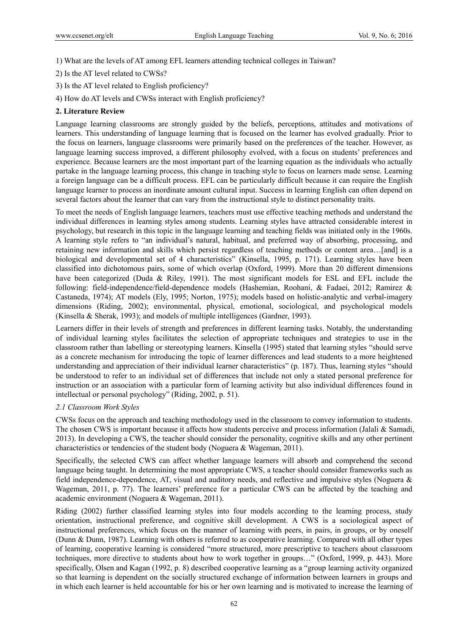1) What are the levels of AT among EFL learners attending technical colleges in Taiwan?

- 2) Is the AT level related to CWSs?
- 3) Is the AT level related to English proficiency?
- 4) How do AT levels and CWSs interact with English proficiency?

# **2. Literature Review**

Language learning classrooms are strongly guided by the beliefs, perceptions, attitudes and motivations of learners. This understanding of language learning that is focused on the learner has evolved gradually. Prior to the focus on learners, language classrooms were primarily based on the preferences of the teacher. However, as language learning success improved, a different philosophy evolved, with a focus on students' preferences and experience. Because learners are the most important part of the learning equation as the individuals who actually partake in the language learning process, this change in teaching style to focus on learners made sense. Learning a foreign language can be a difficult process. EFL can be particularly difficult because it can require the English language learner to process an inordinate amount cultural input. Success in learning English can often depend on several factors about the learner that can vary from the instructional style to distinct personality traits.

To meet the needs of English language learners, teachers must use effective teaching methods and understand the individual differences in learning styles among students. Learning styles have attracted considerable interest in psychology, but research in this topic in the language learning and teaching fields was initiated only in the 1960s. A learning style refers to "an individual's natural, habitual, and preferred way of absorbing, processing, and retaining new information and skills which persist regardless of teaching methods or content area…[and] is a biological and developmental set of 4 characteristics" (Kinsella, 1995, p. 171). Learning styles have been classified into dichotomous pairs, some of which overlap (Oxford, 1999). More than 20 different dimensions have been categorized (Duda & Riley, 1991). The most significant models for ESL and EFL include the following: field-independence/field-dependence models (Hashemian, Roohani, & Fadaei, 2012; Ramirez & Castaneda, 1974); AT models (Ely, 1995; Norton, 1975); models based on holistic-analytic and verbal-imagery dimensions (Riding, 2002); environmental, physical, emotional, sociological, and psychological models (Kinsella & Sherak, 1993); and models of multiple intelligences (Gardner, 1993).

Learners differ in their levels of strength and preferences in different learning tasks. Notably, the understanding of individual learning styles facilitates the selection of appropriate techniques and strategies to use in the classroom rather than labelling or stereotyping learners. Kinsella (1995) stated that learning styles "should serve as a concrete mechanism for introducing the topic of learner differences and lead students to a more heightened understanding and appreciation of their individual learner characteristics" (p. 187). Thus, learning styles "should be understood to refer to an individual set of differences that include not only a stated personal preference for instruction or an association with a particular form of learning activity but also individual differences found in intellectual or personal psychology" (Riding, 2002, p. 51).

# *2.1 Classroom Work Styles*

CWSs focus on the approach and teaching methodology used in the classroom to convey information to students. The chosen CWS is important because it affects how students perceive and process information (Jalali & Samadi, 2013). In developing a CWS, the teacher should consider the personality, cognitive skills and any other pertinent characteristics or tendencies of the student body (Noguera & Wageman, 2011).

Specifically, the selected CWS can affect whether language learners will absorb and comprehend the second language being taught. In determining the most appropriate CWS, a teacher should consider frameworks such as field independence-dependence, AT, visual and auditory needs, and reflective and impulsive styles (Noguera & Wageman, 2011, p. 77). The learners' preference for a particular CWS can be affected by the teaching and academic environment (Noguera & Wageman, 2011).

Riding (2002) further classified learning styles into four models according to the learning process, study orientation, instructional preference, and cognitive skill development. A CWS is a sociological aspect of instructional preferences, which focus on the manner of learning with peers, in pairs, in groups, or by oneself (Dunn & Dunn, 1987). Learning with others is referred to as cooperative learning. Compared with all other types of learning, cooperative learning is considered "more structured, more prescriptive to teachers about classroom techniques, more directive to students about how to work together in groups…" (Oxford, 1999, p. 443). More specifically, Olsen and Kagan (1992, p. 8) described cooperative learning as a "group learning activity organized so that learning is dependent on the socially structured exchange of information between learners in groups and in which each learner is held accountable for his or her own learning and is motivated to increase the learning of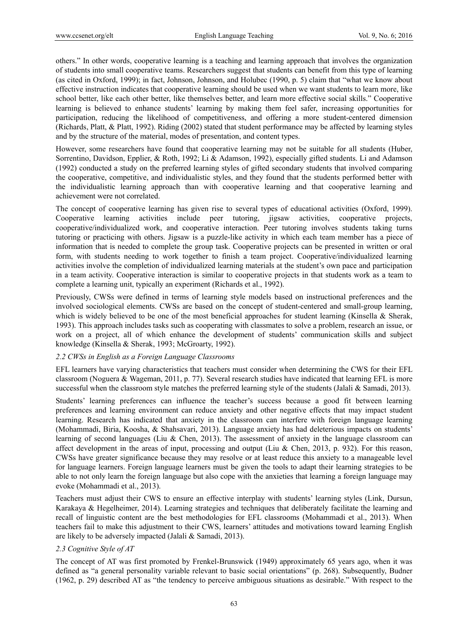others." In other words, cooperative learning is a teaching and learning approach that involves the organization of students into small cooperative teams. Researchers suggest that students can benefit from this type of learning (as cited in Oxford, 1999); in fact, Johnson, Johnson, and Holubec (1990, p. 5) claim that "what we know about effective instruction indicates that cooperative learning should be used when we want students to learn more, like school better, like each other better, like themselves better, and learn more effective social skills." Cooperative learning is believed to enhance students' learning by making them feel safer, increasing opportunities for participation, reducing the likelihood of competitiveness, and offering a more student-centered dimension (Richards, Platt, & Platt, 1992). Riding (2002) stated that student performance may be affected by learning styles and by the structure of the material, modes of presentation, and content types.

However, some researchers have found that cooperative learning may not be suitable for all students (Huber, Sorrentino, Davidson, Epplier, & Roth, 1992; Li & Adamson, 1992), especially gifted students. Li and Adamson (1992) conducted a study on the preferred learning styles of gifted secondary students that involved comparing the cooperative, competitive, and individualistic styles, and they found that the students performed better with the individualistic learning approach than with cooperative learning and that cooperative learning and achievement were not correlated.

The concept of cooperative learning has given rise to several types of educational activities (Oxford, 1999). Cooperative learning activities include peer tutoring, jigsaw activities, cooperative projects, cooperative/individualized work, and cooperative interaction. Peer tutoring involves students taking turns tutoring or practicing with others. Jigsaw is a puzzle-like activity in which each team member has a piece of information that is needed to complete the group task. Cooperative projects can be presented in written or oral form, with students needing to work together to finish a team project. Cooperative/individualized learning activities involve the completion of individualized learning materials at the student's own pace and participation in a team activity. Cooperative interaction is similar to cooperative projects in that students work as a team to complete a learning unit, typically an experiment (Richards et al., 1992).

Previously, CWSs were defined in terms of learning style models based on instructional preferences and the involved sociological elements. CWSs are based on the concept of student-centered and small-group learning, which is widely believed to be one of the most beneficial approaches for student learning (Kinsella & Sherak, 1993). This approach includes tasks such as cooperating with classmates to solve a problem, research an issue, or work on a project, all of which enhance the development of students' communication skills and subject knowledge (Kinsella & Sherak, 1993; McGroarty, 1992).

# *2.2 CWSs in English as a Foreign Language Classrooms*

EFL learners have varying characteristics that teachers must consider when determining the CWS for their EFL classroom (Noguera & Wageman, 2011, p. 77). Several research studies have indicated that learning EFL is more successful when the classroom style matches the preferred learning style of the students (Jalali  $\&$  Samadi, 2013).

Students' learning preferences can influence the teacher's success because a good fit between learning preferences and learning environment can reduce anxiety and other negative effects that may impact student learning. Research has indicated that anxiety in the classroom can interfere with foreign language learning (Mohammadi, Biria, Koosha, & Shahsavari, 2013). Language anxiety has had deleterious impacts on students' learning of second languages (Liu & Chen, 2013). The assessment of anxiety in the language classroom can affect development in the areas of input, processing and output (Liu & Chen, 2013, p. 932). For this reason, CWSs have greater significance because they may resolve or at least reduce this anxiety to a manageable level for language learners. Foreign language learners must be given the tools to adapt their learning strategies to be able to not only learn the foreign language but also cope with the anxieties that learning a foreign language may evoke (Mohammadi et al., 2013).

Teachers must adjust their CWS to ensure an effective interplay with students' learning styles (Link, Dursun, Karakaya & Hegelheimer, 2014). Learning strategies and techniques that deliberately facilitate the learning and recall of linguistic content are the best methodologies for EFL classrooms (Mohammadi et al., 2013). When teachers fail to make this adjustment to their CWS, learners' attitudes and motivations toward learning English are likely to be adversely impacted (Jalali & Samadi, 2013).

# *2.3 Cognitive Style of AT*

The concept of AT was first promoted by Frenkel-Brunswick (1949) approximately 65 years ago, when it was defined as "a general personality variable relevant to basic social orientations" (p. 268). Subsequently, Budner (1962, p. 29) described AT as "the tendency to perceive ambiguous situations as desirable." With respect to the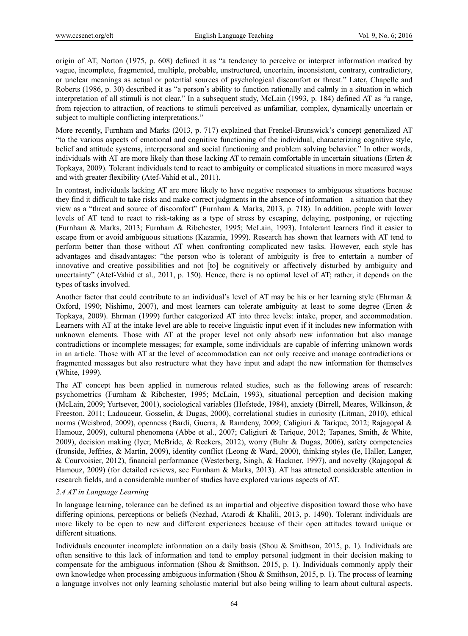origin of AT, Norton (1975, p. 608) defined it as "a tendency to perceive or interpret information marked by vague, incomplete, fragmented, multiple, probable, unstructured, uncertain, inconsistent, contrary, contradictory, or unclear meanings as actual or potential sources of psychological discomfort or threat." Later, Chapelle and Roberts (1986, p. 30) described it as "a person's ability to function rationally and calmly in a situation in which interpretation of all stimuli is not clear." In a subsequent study, McLain (1993, p. 184) defined AT as "a range, from rejection to attraction, of reactions to stimuli perceived as unfamiliar, complex, dynamically uncertain or subject to multiple conflicting interpretations."

More recently, Furnham and Marks (2013, p. 717) explained that Frenkel-Brunswick's concept generalized AT "to the various aspects of emotional and cognitive functioning of the individual, characterizing cognitive style, belief and attitude systems, interpersonal and social functioning and problem solving behavior." In other words, individuals with AT are more likely than those lacking AT to remain comfortable in uncertain situations (Erten  $\&$ Topkaya, 2009). Tolerant individuals tend to react to ambiguity or complicated situations in more measured ways and with greater flexibility (Atef-Vahid et al., 2011).

In contrast, individuals lacking AT are more likely to have negative responses to ambiguous situations because they find it difficult to take risks and make correct judgments in the absence of information—a situation that they view as a "threat and source of discomfort" (Furnham & Marks, 2013, p. 718). In addition, people with lower levels of AT tend to react to risk-taking as a type of stress by escaping, delaying, postponing, or rejecting (Furnham & Marks, 2013; Furnham & Ribchester, 1995; McLain, 1993). Intolerant learners find it easier to escape from or avoid ambiguous situations (Kazamia, 1999). Research has shown that learners with AT tend to perform better than those without AT when confronting complicated new tasks. However, each style has advantages and disadvantages: "the person who is tolerant of ambiguity is free to entertain a number of innovative and creative possibilities and not [to] be cognitively or affectively disturbed by ambiguity and uncertainty" (Atef-Vahid et al., 2011, p. 150). Hence, there is no optimal level of AT; rather, it depends on the types of tasks involved.

Another factor that could contribute to an individual's level of AT may be his or her learning style (Ehrman & Oxford, 1990; Nishimo, 2007), and most learners can tolerate ambiguity at least to some degree (Erten & Topkaya, 2009). Ehrman (1999) further categorized AT into three levels: intake, proper, and accommodation. Learners with AT at the intake level are able to receive linguistic input even if it includes new information with unknown elements. Those with AT at the proper level not only absorb new information but also manage contradictions or incomplete messages; for example, some individuals are capable of inferring unknown words in an article. Those with AT at the level of accommodation can not only receive and manage contradictions or fragmented messages but also restructure what they have input and adapt the new information for themselves (White, 1999).

The AT concept has been applied in numerous related studies, such as the following areas of research: psychometrics (Furnham & Ribchester, 1995; McLain, 1993), situational perception and decision making (McLain, 2009; Yurtsever, 2001), sociological variables (Hofstede, 1984), anxiety (Birrell, Meares, Wilkinson, & Freeston, 2011; Ladouceur, Gosselin, & Dugas, 2000), correlational studies in curiosity (Litman, 2010), ethical norms (Weisbrod, 2009), openness (Bardi, Guerra, & Ramdeny, 2009; Caligiuri & Tarique, 2012; Rajagopal & Hamouz, 2009), cultural phenomena (Abbe et al., 2007; Caligiuri & Tarique, 2012; Tapanes, Smith, & White, 2009), decision making (Iyer, McBride, & Reckers, 2012), worry (Buhr & Dugas, 2006), safety competencies (Ironside, Jeffries, & Martin, 2009), identity conflict (Leong & Ward, 2000), thinking styles (Ie, Haller, Langer, & Courvoisier, 2012), financial performance (Westerberg, Singh, & Hackner, 1997), and novelty (Rajagopal & Hamouz, 2009) (for detailed reviews, see Furnham & Marks, 2013). AT has attracted considerable attention in research fields, and a considerable number of studies have explored various aspects of AT.

# *2.4 AT in Language Learning*

In language learning, tolerance can be defined as an impartial and objective disposition toward those who have differing opinions, perceptions or beliefs (Nezhad, Atarodi & Khalili, 2013, p. 1490). Tolerant individuals are more likely to be open to new and different experiences because of their open attitudes toward unique or different situations.

Individuals encounter incomplete information on a daily basis (Shou & Smithson, 2015, p. 1). Individuals are often sensitive to this lack of information and tend to employ personal judgment in their decision making to compensate for the ambiguous information (Shou & Smithson, 2015, p. 1). Individuals commonly apply their own knowledge when processing ambiguous information (Shou & Smithson, 2015, p. 1). The process of learning a language involves not only learning scholastic material but also being willing to learn about cultural aspects.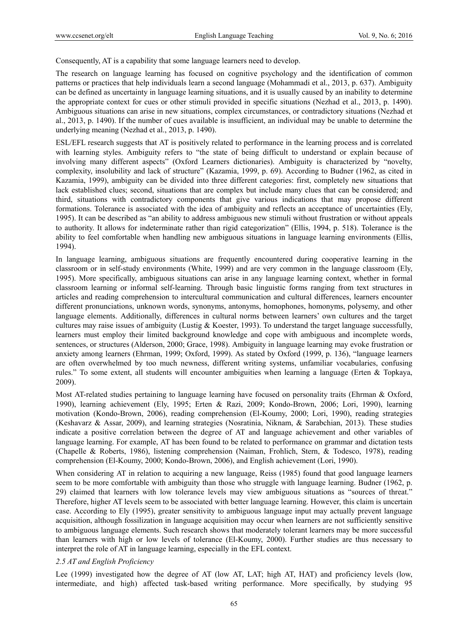Consequently, AT is a capability that some language learners need to develop.

The research on language learning has focused on cognitive psychology and the identification of common patterns or practices that help individuals learn a second language (Mohammadi et al., 2013, p. 637). Ambiguity can be defined as uncertainty in language learning situations, and it is usually caused by an inability to determine the appropriate context for cues or other stimuli provided in specific situations (Nezhad et al., 2013, p. 1490). Ambiguous situations can arise in new situations, complex circumstances, or contradictory situations (Nezhad et al., 2013, p. 1490). If the number of cues available is insufficient, an individual may be unable to determine the underlying meaning (Nezhad et al., 2013, p. 1490).

ESL/EFL research suggests that AT is positively related to performance in the learning process and is correlated with learning styles. Ambiguity refers to "the state of being difficult to understand or explain because of involving many different aspects" (Oxford Learners dictionaries). Ambiguity is characterized by "novelty, complexity, insolubility and lack of structure" (Kazamia, 1999, p. 69). According to Budner (1962, as cited in Kazamia, 1999), ambiguity can be divided into three different categories: first, completely new situations that lack established clues; second, situations that are complex but include many clues that can be considered; and third, situations with contradictory components that give various indications that may propose different formations. Tolerance is associated with the idea of ambiguity and reflects an acceptance of uncertainties (Ely, 1995). It can be described as "an ability to address ambiguous new stimuli without frustration or without appeals to authority. It allows for indeterminate rather than rigid categorization" (Ellis, 1994, p. 518). Tolerance is the ability to feel comfortable when handling new ambiguous situations in language learning environments (Ellis, 1994).

In language learning, ambiguous situations are frequently encountered during cooperative learning in the classroom or in self-study environments (White, 1999) and are very common in the language classroom (Ely, 1995). More specifically, ambiguous situations can arise in any language learning context, whether in formal classroom learning or informal self-learning. Through basic linguistic forms ranging from text structures in articles and reading comprehension to intercultural communication and cultural differences, learners encounter different pronunciations, unknown words, synonyms, antonyms, homophones, homonyms, polysemy, and other language elements. Additionally, differences in cultural norms between learners' own cultures and the target cultures may raise issues of ambiguity (Lustig & Koester, 1993). To understand the target language successfully, learners must employ their limited background knowledge and cope with ambiguous and incomplete words, sentences, or structures (Alderson, 2000; Grace, 1998). Ambiguity in language learning may evoke frustration or anxiety among learners (Ehrman, 1999; Oxford, 1999). As stated by Oxford (1999, p. 136), "language learners are often overwhelmed by too much newness, different writing systems, unfamiliar vocabularies, confusing rules." To some extent, all students will encounter ambiguities when learning a language (Erten & Topkaya, 2009).

Most AT-related studies pertaining to language learning have focused on personality traits (Ehrman & Oxford, 1990), learning achievement (Ely, 1995; Erten & Razi, 2009; Kondo-Brown, 2006; Lori, 1990), learning motivation (Kondo-Brown, 2006), reading comprehension (El-Koumy, 2000; Lori, 1990), reading strategies (Keshavarz & Assar, 2009), and learning strategies (Nosratinia, Niknam, & Sarabchian, 2013). These studies indicate a positive correlation between the degree of AT and language achievement and other variables of language learning. For example, AT has been found to be related to performance on grammar and dictation tests (Chapelle & Roberts, 1986), listening comprehension (Naiman, Frohlich, Stern, & Todesco, 1978), reading comprehension (El-Koumy, 2000; Kondo-Brown, 2006), and English achievement (Lori, 1990).

When considering AT in relation to acquiring a new language, Reiss (1985) found that good language learners seem to be more comfortable with ambiguity than those who struggle with language learning. Budner (1962, p. 29) claimed that learners with low tolerance levels may view ambiguous situations as "sources of threat." Therefore, higher AT levels seem to be associated with better language learning. However, this claim is uncertain case. According to Ely (1995), greater sensitivity to ambiguous language input may actually prevent language acquisition, although fossilization in language acquisition may occur when learners are not sufficiently sensitive to ambiguous language elements. Such research shows that moderately tolerant learners may be more successful than learners with high or low levels of tolerance (El-Koumy, 2000). Further studies are thus necessary to interpret the role of AT in language learning, especially in the EFL context.

# *2.5 AT and English Proficiency*

Lee (1999) investigated how the degree of AT (low AT, LAT; high AT, HAT) and proficiency levels (low, intermediate, and high) affected task-based writing performance. More specifically, by studying 95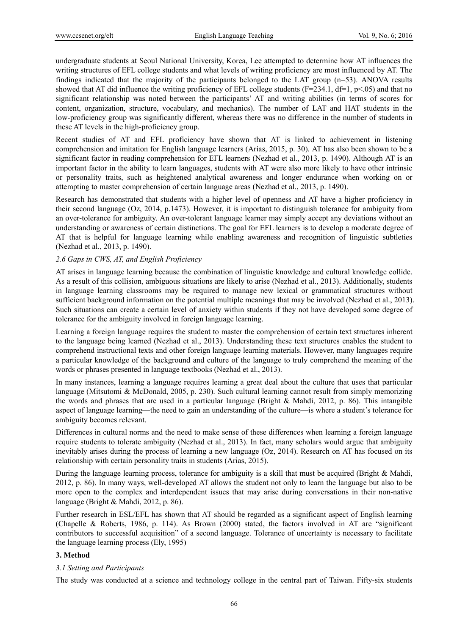undergraduate students at Seoul National University, Korea, Lee attempted to determine how AT influences the writing structures of EFL college students and what levels of writing proficiency are most influenced by AT. The findings indicated that the majority of the participants belonged to the LAT group (n=53). ANOVA results showed that AT did influence the writing proficiency of EFL college students (F=234.1, df=1, p<.05) and that no significant relationship was noted between the participants' AT and writing abilities (in terms of scores for content, organization, structure, vocabulary, and mechanics). The number of LAT and HAT students in the low-proficiency group was significantly different, whereas there was no difference in the number of students in these AT levels in the high-proficiency group.

Recent studies of AT and EFL proficiency have shown that AT is linked to achievement in listening comprehension and imitation for English language learners (Arias, 2015, p. 30). AT has also been shown to be a significant factor in reading comprehension for EFL learners (Nezhad et al., 2013, p. 1490). Although AT is an important factor in the ability to learn languages, students with AT were also more likely to have other intrinsic or personality traits, such as heightened analytical awareness and longer endurance when working on or attempting to master comprehension of certain language areas (Nezhad et al., 2013, p. 1490).

Research has demonstrated that students with a higher level of openness and AT have a higher proficiency in their second language (Oz, 2014, p.1473). However, it is important to distinguish tolerance for ambiguity from an over-tolerance for ambiguity. An over-tolerant language learner may simply accept any deviations without an understanding or awareness of certain distinctions. The goal for EFL learners is to develop a moderate degree of AT that is helpful for language learning while enabling awareness and recognition of linguistic subtleties (Nezhad et al., 2013, p. 1490).

# *2.6 Gaps in CWS, AT, and English Proficiency*

AT arises in language learning because the combination of linguistic knowledge and cultural knowledge collide. As a result of this collision, ambiguous situations are likely to arise (Nezhad et al., 2013). Additionally, students in language learning classrooms may be required to manage new lexical or grammatical structures without sufficient background information on the potential multiple meanings that may be involved (Nezhad et al., 2013). Such situations can create a certain level of anxiety within students if they not have developed some degree of tolerance for the ambiguity involved in foreign language learning.

Learning a foreign language requires the student to master the comprehension of certain text structures inherent to the language being learned (Nezhad et al., 2013). Understanding these text structures enables the student to comprehend instructional texts and other foreign language learning materials. However, many languages require a particular knowledge of the background and culture of the language to truly comprehend the meaning of the words or phrases presented in language textbooks (Nezhad et al., 2013).

In many instances, learning a language requires learning a great deal about the culture that uses that particular language (Mitsutomi & McDonald, 2005, p. 230). Such cultural learning cannot result from simply memorizing the words and phrases that are used in a particular language (Bright & Mahdi, 2012, p. 86). This intangible aspect of language learning—the need to gain an understanding of the culture—is where a student's tolerance for ambiguity becomes relevant.

Differences in cultural norms and the need to make sense of these differences when learning a foreign language require students to tolerate ambiguity (Nezhad et al., 2013). In fact, many scholars would argue that ambiguity inevitably arises during the process of learning a new language (Oz, 2014). Research on AT has focused on its relationship with certain personality traits in students (Arias, 2015).

During the language learning process, tolerance for ambiguity is a skill that must be acquired (Bright & Mahdi, 2012, p. 86). In many ways, well-developed AT allows the student not only to learn the language but also to be more open to the complex and interdependent issues that may arise during conversations in their non-native language (Bright & Mahdi, 2012, p. 86).

Further research in ESL/EFL has shown that AT should be regarded as a significant aspect of English learning (Chapelle & Roberts, 1986, p. 114). As Brown (2000) stated, the factors involved in AT are "significant contributors to successful acquisition" of a second language. Tolerance of uncertainty is necessary to facilitate the language learning process (Ely, 1995)

# **3. Method**

# *3.1 Setting and Participants*

The study was conducted at a science and technology college in the central part of Taiwan. Fifty-six students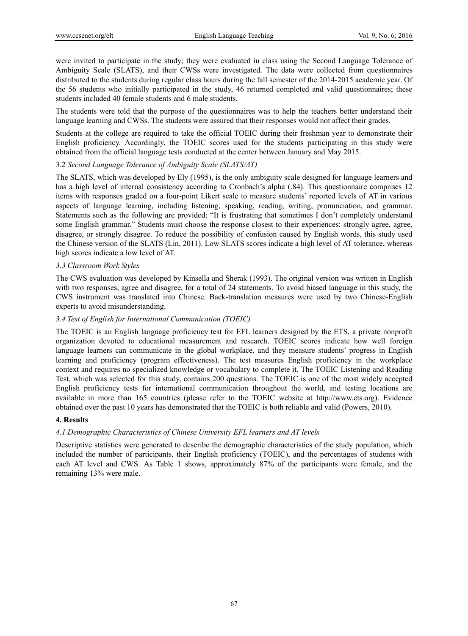were invited to participate in the study; they were evaluated in class using the Second Language Tolerance of Ambiguity Scale (SLATS), and their CWSs were investigated. The data were collected from questionnaires distributed to the students during regular class hours during the fall semester of the 2014-2015 academic year. Of the 56 students who initially participated in the study, 46 returned completed and valid questionnaires; these students included 40 female students and 6 male students.

The students were told that the purpose of the questionnaires was to help the teachers better understand their language learning and CWSs. The students were assured that their responses would not affect their grades.

Students at the college are required to take the official TOEIC during their freshman year to demonstrate their English proficiency. Accordingly, the TOEIC scores used for the students participating in this study were obtained from the official language tests conducted at the center between January and May 2015.

# 3.2 *Second Language Tolerance of Ambiguity Scale (SLATS/AT)*

The SLATS, which was developed by Ely (1995), is the only ambiguity scale designed for language learners and has a high level of internal consistency according to Cronbach's alpha (.84). This questionnaire comprises 12 items with responses graded on a four-point Likert scale to measure students' reported levels of AT in various aspects of language learning, including listening, speaking, reading, writing, pronunciation, and grammar. Statements such as the following are provided: "It is frustrating that sometimes I don't completely understand some English grammar." Students must choose the response closest to their experiences: strongly agree, agree, disagree, or strongly disagree. To reduce the possibility of confusion caused by English words, this study used the Chinese version of the SLATS (Lin, 2011). Low SLATS scores indicate a high level of AT tolerance, whereas high scores indicate a low level of AT.

# *3.3 Classroom Work Styles*

The CWS evaluation was developed by Kinsella and Sherak (1993). The original version was written in English with two responses, agree and disagree, for a total of 24 statements. To avoid biased language in this study, the CWS instrument was translated into Chinese. Back-translation measures were used by two Chinese-English experts to avoid misunderstanding.

# *3.4 Test of English for International Communication (TOEIC)*

The TOEIC is an English language proficiency test for EFL learners designed by the ETS, a private nonprofit organization devoted to educational measurement and research. TOEIC scores indicate how well foreign language learners can communicate in the global workplace, and they measure students' progress in English learning and proficiency (program effectiveness). The test measures English proficiency in the workplace context and requires no specialized knowledge or vocabulary to complete it. The TOEIC Listening and Reading Test, which was selected for this study, contains 200 questions. The TOEIC is one of the most widely accepted English proficiency tests for international communication throughout the world, and testing locations are available in more than 165 countries (please refer to the TOEIC website at http://www.ets.org). Evidence obtained over the past 10 years has demonstrated that the TOEIC is both reliable and valid (Powers, 2010).

# **4. Results**

# *4.1 Demographic Characteristics of Chinese University EFL learners and AT levels*

Descriptive statistics were generated to describe the demographic characteristics of the study population, which included the number of participants, their English proficiency (TOEIC), and the percentages of students with each AT level and CWS. As Table 1 shows, approximately 87% of the participants were female, and the remaining 13% were male.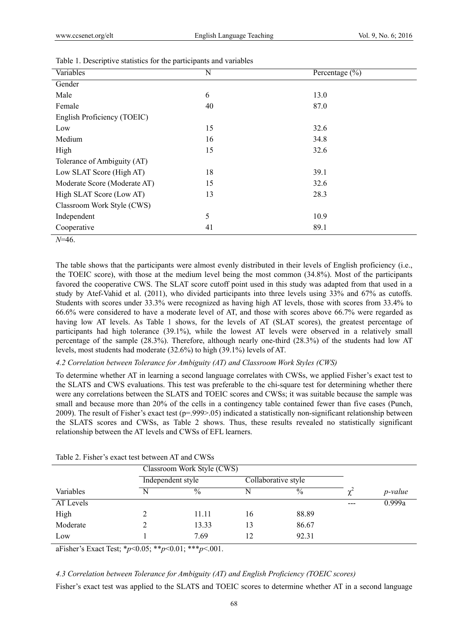| Variables                    | N  | Percentage $(\% )$ |
|------------------------------|----|--------------------|
| Gender                       |    |                    |
| Male                         | 6  | 13.0               |
| Female                       | 40 | 87.0               |
| English Proficiency (TOEIC)  |    |                    |
| Low                          | 15 | 32.6               |
| Medium                       | 16 | 34.8               |
| High                         | 15 | 32.6               |
| Tolerance of Ambiguity (AT)  |    |                    |
| Low SLAT Score (High AT)     | 18 | 39.1               |
| Moderate Score (Moderate AT) | 15 | 32.6               |
| High SLAT Score (Low AT)     | 13 | 28.3               |
| Classroom Work Style (CWS)   |    |                    |
| Independent                  | 5  | 10.9               |
| Cooperative                  | 41 | 89.1               |

Table 1. Descriptive statistics for the participants and variables

The table shows that the participants were almost evenly distributed in their levels of English proficiency (i.e., the TOEIC score), with those at the medium level being the most common (34.8%). Most of the participants favored the cooperative CWS. The SLAT score cutoff point used in this study was adapted from that used in a study by Atef-Vahid et al. (2011), who divided participants into three levels using 33% and 67% as cutoffs. Students with scores under 33.3% were recognized as having high AT levels, those with scores from 33.4% to 66.6% were considered to have a moderate level of AT, and those with scores above 66.7% were regarded as having low AT levels. As Table 1 shows, for the levels of AT (SLAT scores), the greatest percentage of participants had high tolerance (39.1%), while the lowest AT levels were observed in a relatively small percentage of the sample (28.3%). Therefore, although nearly one-third (28.3%) of the students had low AT levels, most students had moderate (32.6%) to high (39.1%) levels of AT.

# *4.2 Correlation between Tolerance for Ambiguity (AT) and Classroom Work Styles (CWS)*

To determine whether AT in learning a second language correlates with CWSs, we applied Fisher's exact test to the SLATS and CWS evaluations. This test was preferable to the chi-square test for determining whether there were any correlations between the SLATS and TOEIC scores and CWSs; it was suitable because the sample was small and because more than 20% of the cells in a contingency table contained fewer than five cases (Punch, 2009). The result of Fisher's exact test (p=.999>.05) indicated a statistically non-significant relationship between the SLATS scores and CWSs, as Table 2 shows. Thus, these results revealed no statistically significant relationship between the AT levels and CWSs of EFL learners.

|           |                   | Classroom Work Style (CWS) |                     |               |     |                 |
|-----------|-------------------|----------------------------|---------------------|---------------|-----|-----------------|
|           | Independent style |                            | Collaborative style |               |     |                 |
| Variables |                   | $\frac{0}{0}$              | N                   | $\frac{0}{0}$ | ν   | <i>p</i> -value |
| AT Levels |                   |                            |                     |               | --- | 0.999a          |
| High      |                   | 11.11                      | 16                  | 88.89         |     |                 |
| Moderate  |                   | 13.33                      | 13                  | 86.67         |     |                 |
| Low       |                   | 7.69                       | 12                  | 92.31         |     |                 |

Table 2. Fisher's exact test between AT and CWSs

aFisher's Exact Test; \**p*<0.05; \*\**p*<0.01; \*\*\**p*<.001.

*4.3 Correlation between Tolerance for Ambiguity (AT) and English Proficiency (TOEIC scores)* 

Fisher's exact test was applied to the SLATS and TOEIC scores to determine whether AT in a second language

*N*=46.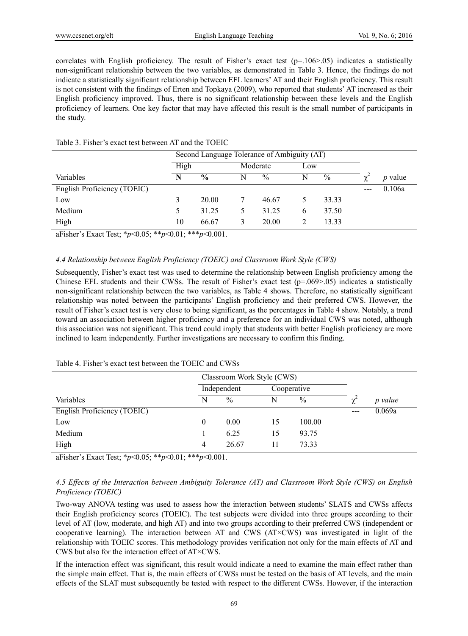correlates with English proficiency. The result of Fisher's exact test  $(p=106>05)$  indicates a statistically non-significant relationship between the two variables, as demonstrated in Table 3. Hence, the findings do not indicate a statistically significant relationship between EFL learners' AT and their English proficiency. This result is not consistent with the findings of Erten and Topkaya (2009), who reported that students' AT increased as their English proficiency improved. Thus, there is no significant relationship between these levels and the English proficiency of learners. One key factor that may have affected this result is the small number of participants in the study.

|                             |      | Second Language Tolerance of Ambiguity (AT) |          |       |     |               |         |                |
|-----------------------------|------|---------------------------------------------|----------|-------|-----|---------------|---------|----------------|
|                             | High |                                             | Moderate |       | Low |               |         |                |
| Variables                   | N    | $\frac{6}{9}$                               |          | $\%$  | Ν   | $\frac{0}{0}$ |         | <i>p</i> value |
| English Proficiency (TOEIC) |      |                                             |          |       |     |               | $- - -$ | 0.106a         |
| Low                         |      | 20.00                                       |          | 46.67 | 5   | 33.33         |         |                |
| Medium                      |      | 31.25                                       |          | 31.25 | 6   | 37.50         |         |                |
| High                        | 10   | 66.67                                       |          | 20.00 |     | 13.33         |         |                |

#### Table 3. Fisher's exact test between AT and the TOEIC

aFisher's Exact Test; \**p*<0.05; \*\**p*<0.01; \*\*\**p*<0.001.

#### *4.4 Relationship between English Proficiency (TOEIC) and Classroom Work Style (CWS)*

Subsequently, Fisher's exact test was used to determine the relationship between English proficiency among the Chinese EFL students and their CWSs. The result of Fisher's exact test (p=.069>.05) indicates a statistically non-significant relationship between the two variables, as Table 4 shows. Therefore, no statistically significant relationship was noted between the participants' English proficiency and their preferred CWS. However, the result of Fisher's exact test is very close to being significant, as the percentages in Table 4 show. Notably, a trend toward an association between higher proficiency and a preference for an individual CWS was noted, although this association was not significant. This trend could imply that students with better English proficiency are more inclined to learn independently. Further investigations are necessary to confirm this finding.

#### Variables Classroom Work Style (CWS) χ <sup>2</sup> *p value* Independent Cooperative N  $\%$  N  $\%$ English Proficiency (TOEIC)  $-$ -- 0.069a Low 0 0.00 15 100.00 Medium 1 6.25 15 93.75 High 4 26.67 11 73.33

#### Table 4. Fisher's exact test between the TOEIC and CWSs

aFisher's Exact Test; \**p*<0.05; \*\**p*<0.01; \*\*\**p*<0.001.

# *4.5 Effects of the Interaction between Ambiguity Tolerance (AT) and Classroom Work Style (CWS) on English Proficiency (TOEIC)*

Two-way ANOVA testing was used to assess how the interaction between students' SLATS and CWSs affects their English proficiency scores (TOEIC). The test subjects were divided into three groups according to their level of AT (low, moderate, and high AT) and into two groups according to their preferred CWS (independent or cooperative learning). The interaction between AT and CWS (AT×CWS) was investigated in light of the relationship with TOEIC scores. This methodology provides verification not only for the main effects of AT and CWS but also for the interaction effect of AT×CWS.

If the interaction effect was significant, this result would indicate a need to examine the main effect rather than the simple main effect. That is, the main effects of CWSs must be tested on the basis of AT levels, and the main effects of the SLAT must subsequently be tested with respect to the different CWSs. However, if the interaction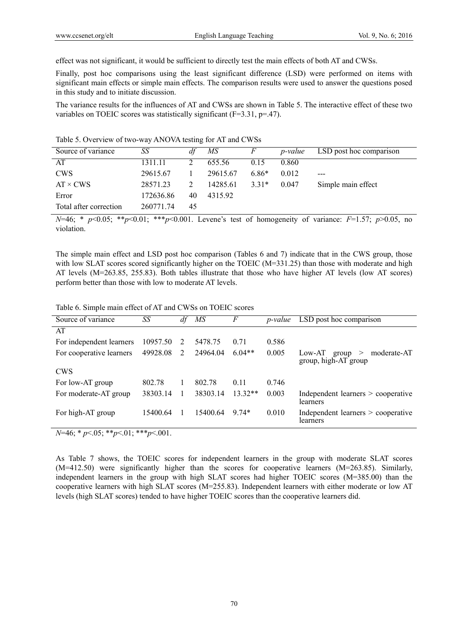effect was not significant, it would be sufficient to directly test the main effects of both AT and CWSs.

Finally, post hoc comparisons using the least significant difference (LSD) were performed on items with significant main effects or simple main effects. The comparison results were used to answer the questions posed in this study and to initiate discussion.

The variance results for the influences of AT and CWSs are shown in Table 5. The interactive effect of these two variables on TOEIC scores was statistically significant (F=3.31, p=.47).

| Source of variance     | SS        | df | МS       | F       | p-value | LSD post hoc comparison |
|------------------------|-----------|----|----------|---------|---------|-------------------------|
| AT                     | 1311.11   |    | 655.56   | 0.15    | 0.860   |                         |
| <b>CWS</b>             | 29615.67  |    | 29615.67 | 6.86*   | 0.012   | $- - -$                 |
| $AT \times CWS$        | 2857123   |    | 14285.61 | $3.31*$ | 0.047   | Simple main effect      |
| Error                  | 172636.86 | 40 | 4315.92  |         |         |                         |
| Total after correction | 260771.74 | 45 |          |         |         |                         |

Table 5. Overview of two-way ANOVA testing for AT and CWSs

*N*=46; \* *p*<0.05; \*\**p*<0.01; \*\*\**p*<0.001. Levene's test of homogeneity of variance: *F*=1.57; *p*>0.05, no violation.

The simple main effect and LSD post hoc comparison (Tables 6 and 7) indicate that in the CWS group, those with low SLAT scores scored significantly higher on the TOEIC (M=331.25) than those with moderate and high AT levels (M=263.85, 255.83). Both tables illustrate that those who have higher AT levels (low AT scores) perform better than those with low to moderate AT levels.

|  |  |  | Table 6. Simple main effect of AT and CWSs on TOEIC scores |
|--|--|--|------------------------------------------------------------|
|  |  |  |                                                            |

| Source of variance       | SS       | df | МS       | F         | p-value | LSD post hoc comparison                                          |
|--------------------------|----------|----|----------|-----------|---------|------------------------------------------------------------------|
| AT                       |          |    |          |           |         |                                                                  |
| For independent learners | 10957.50 | 2  | 5478.75  | 0.71      | 0.586   |                                                                  |
| For cooperative learners | 49928.08 | 2  | 24964.04 | $6.04**$  | 0.005   | moderate-AT<br>Low-AT<br>$\geq$<br>group<br>group, high-AT group |
| <b>CWS</b>               |          |    |          |           |         |                                                                  |
| For low-AT group         | 802.78   |    | 802.78   | 0.11      | 0.746   |                                                                  |
| For moderate-AT group    | 38303.14 |    | 38303.14 | $13.32**$ | 0.003   | Independent learners > cooperative<br>learners                   |
| For high-AT group        | 15400.64 |    | 15400.64 | $974*$    | 0.010   | Independent learners > cooperative<br>learners                   |

*N*=46; \* *p*<.05; \*\**p*<.01; \*\*\**p*<.001.

As Table 7 shows, the TOEIC scores for independent learners in the group with moderate SLAT scores (M=412.50) were significantly higher than the scores for cooperative learners (M=263.85). Similarly, independent learners in the group with high SLAT scores had higher TOEIC scores (M=385.00) than the cooperative learners with high SLAT scores (M=255.83). Independent learners with either moderate or low AT levels (high SLAT scores) tended to have higher TOEIC scores than the cooperative learners did.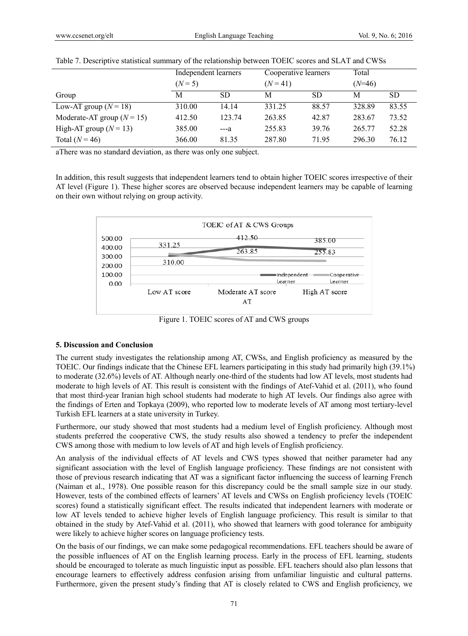|                              | Independent learners |        | Cooperative learners |       | Total    |       |
|------------------------------|----------------------|--------|----------------------|-------|----------|-------|
|                              | $(N=5)$              |        | $(N=41)$             |       | $(N=46)$ |       |
| Group                        | М                    | SD     | М                    | SD    | М        | SD    |
| Low-AT group $(N = 18)$      | 310.00               | 14.14  | 331.25               | 88.57 | 328.89   | 83.55 |
| Moderate-AT group $(N = 15)$ | 412.50               | 123.74 | 263.85               | 42.87 | 283.67   | 73.52 |
| High-AT group $(N = 13)$     | 385.00               | $---a$ | 255.83               | 39.76 | 265.77   | 52.28 |
| Total $(N = 46)$             | 366.00               | 81.35  | 287.80               | 71.95 | 296.30   | 76.12 |

| Table 7. Descriptive statistical summary of the relationship between TOEIC scores and SLAT and CWSs |
|-----------------------------------------------------------------------------------------------------|
|-----------------------------------------------------------------------------------------------------|

aThere was no standard deviation, as there was only one subject.

In addition, this result suggests that independent learners tend to obtain higher TOEIC scores irrespective of their AT level (Figure 1). These higher scores are observed because independent learners may be capable of learning on their own without relying on group activity.



Figure 1. TOEIC scores of AT and CWS groups

# **5. Discussion and Conclusion**

The current study investigates the relationship among AT, CWSs, and English proficiency as measured by the TOEIC. Our findings indicate that the Chinese EFL learners participating in this study had primarily high (39.1%) to moderate (32.6%) levels of AT. Although nearly one-third of the students had low AT levels, most students had moderate to high levels of AT. This result is consistent with the findings of Atef-Vahid et al. (2011), who found that most third-year Iranian high school students had moderate to high AT levels. Our findings also agree with the findings of Erten and Topkaya (2009), who reported low to moderate levels of AT among most tertiary-level Turkish EFL learners at a state university in Turkey.

Furthermore, our study showed that most students had a medium level of English proficiency. Although most students preferred the cooperative CWS, the study results also showed a tendency to prefer the independent CWS among those with medium to low levels of AT and high levels of English proficiency.

An analysis of the individual effects of AT levels and CWS types showed that neither parameter had any significant association with the level of English language proficiency. These findings are not consistent with those of previous research indicating that AT was a significant factor influencing the success of learning French (Naiman et al., 1978). One possible reason for this discrepancy could be the small sample size in our study. However, tests of the combined effects of learners' AT levels and CWSs on English proficiency levels (TOEIC scores) found a statistically significant effect. The results indicated that independent learners with moderate or low AT levels tended to achieve higher levels of English language proficiency. This result is similar to that obtained in the study by Atef-Vahid et al. (2011), who showed that learners with good tolerance for ambiguity were likely to achieve higher scores on language proficiency tests.

On the basis of our findings, we can make some pedagogical recommendations. EFL teachers should be aware of the possible influences of AT on the English learning process. Early in the process of EFL learning, students should be encouraged to tolerate as much linguistic input as possible. EFL teachers should also plan lessons that encourage learners to effectively address confusion arising from unfamiliar linguistic and cultural patterns. Furthermore, given the present study's finding that AT is closely related to CWS and English proficiency, we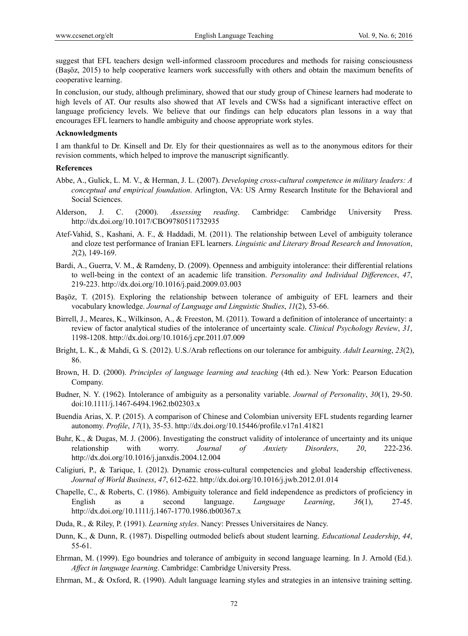suggest that EFL teachers design well-informed classroom procedures and methods for raising consciousness (Başöz, 2015) to help cooperative learners work successfully with others and obtain the maximum benefits of cooperative learning.

In conclusion, our study, although preliminary, showed that our study group of Chinese learners had moderate to high levels of AT. Our results also showed that AT levels and CWSs had a significant interactive effect on language proficiency levels. We believe that our findings can help educators plan lessons in a way that encourages EFL learners to handle ambiguity and choose appropriate work styles.

#### **Acknowledgments**

I am thankful to Dr. Kinsell and Dr. Ely for their questionnaires as well as to the anonymous editors for their revision comments, which helped to improve the manuscript significantly.

#### **References**

- Abbe, A., Gulick, L. M. V., & Herman, J. L. (2007). *Developing cross-cultural competence in military leaders: A conceptual and empirical foundation*. Arlington, VA: US Army Research Institute for the Behavioral and Social Sciences.
- Alderson, J. C. (2000). *Assessing reading*. Cambridge: Cambridge University Press. http://dx.doi.org/10.1017/CBO9780511732935
- Atef-Vahid, S., Kashani, A. F., & Haddadi, M. (2011). The relationship between Level of ambiguity tolerance and cloze test performance of Iranian EFL learners. *Linguistic and Literary Broad Research and Innovation*, *2*(2), 149-169.
- Bardi, A., Guerra, V. M., & Ramdeny, D. (2009). Openness and ambiguity intolerance: their differential relations to well-being in the context of an academic life transition. *Personality and Individual Differences*, *47*, 219-223. http://dx.doi.org/10.1016/j.paid.2009.03.003
- Başöz, T. (2015). Exploring the relationship between tolerance of ambiguity of EFL learners and their vocabulary knowledge. *Journal of Language and Linguistic Studies*, *11*(2), 53-66.
- Birrell, J., Meares, K., Wilkinson, A., & Freeston, M. (2011). Toward a definition of intolerance of uncertainty: a review of factor analytical studies of the intolerance of uncertainty scale. *Clinical Psychology Review*, *31*, 1198-1208. http://dx.doi.org/10.1016/j.cpr.2011.07.009
- Bright, L. K., & Mahdi, G. S. (2012). U.S./Arab reflections on our tolerance for ambiguity. *Adult Learning*, *23*(2), 86.
- Brown, H. D. (2000). *Principles of language learning and teaching* (4th ed.). New York: Pearson Education Company.
- Budner, N. Y. (1962). Intolerance of ambiguity as a personality variable. *Journal of Personality*, *30*(1), 29-50. doi:10.1111/j.1467-6494.1962.tb02303.x
- Buendía Arias, X. P. (2015). A comparison of Chinese and Colombian university EFL students regarding learner autonomy. *Profile*, *17*(1), 35-53. http://dx.doi.org/10.15446/profile.v17n1.41821
- Buhr, K., & Dugas, M. J. (2006). Investigating the construct validity of intolerance of uncertainty and its unique relationship with worry. *Journal of Anxiety Disorders*, *20*, 222-236. http://dx.doi.org/10.1016/j.janxdis.2004.12.004
- Caligiuri, P., & Tarique, I. (2012). Dynamic cross-cultural competencies and global leadership effectiveness. *Journal of World Business*, *47*, 612-622. http://dx.doi.org/10.1016/j.jwb.2012.01.014
- Chapelle, C., & Roberts, C. (1986). Ambiguity tolerance and field independence as predictors of proficiency in English as a second language. *Language Learning*, *36*(1), 27-45. http://dx.doi.org/10.1111/j.1467-1770.1986.tb00367.x
- Duda, R., & Riley, P. (1991). *Learning styles*. Nancy: Presses Universitaires de Nancy.
- Dunn, K., & Dunn, R. (1987). Dispelling outmoded beliefs about student learning. *Educational Leadership*, *44*, 55-61.
- Ehrman, M. (1999). Ego boundries and tolerance of ambiguity in second language learning. In J. Arnold (Ed.). *Affect in language learning*. Cambridge: Cambridge University Press.
- Ehrman, M., & Oxford, R. (1990). Adult language learning styles and strategies in an intensive training setting.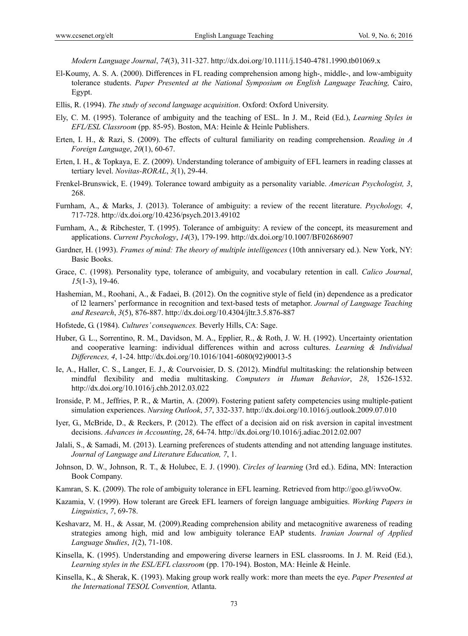*Modern Language Journal*, *74*(3), 311-327. http://dx.doi.org/10.1111/j.1540-4781.1990.tb01069.x

- El-Koumy, A. S. A. (2000). Differences in FL reading comprehension among high-, middle-, and low-ambiguity tolerance students. *Paper Presented at the National Symposium on English Language Teaching,* Cairo, Egypt.
- Ellis, R. (1994). *The study of second language acquisition*. Oxford: Oxford University.
- Ely, C. M. (1995). Tolerance of ambiguity and the teaching of ESL. In J. M., Reid (Ed.), *Learning Styles in EFL/ESL Classroom* (pp. 85-95). Boston, MA: Heinle & Heinle Publishers.
- Erten, I. H., & Razi, S. (2009). The effects of cultural familiarity on reading comprehension. *Reading in A Foreign Language*, *20*(1), 60-67.
- Erten, I. H., & Topkaya, E. Z. (2009). Understanding tolerance of ambiguity of EFL learners in reading classes at tertiary level. *Novitas-RORAL*, *3*(1), 29-44.
- Frenkel-Brunswick, E. (1949). Tolerance toward ambiguity as a personality variable. *American Psychologist, 3*, 268.
- Furnham, A., & Marks, J. (2013). Tolerance of ambiguity: a review of the recent literature. *Psychology, 4*, 717-728. http://dx.doi.org/10.4236/psych.2013.49102
- Furnham, A., & Ribchester, T. (1995). Tolerance of ambiguity: A review of the concept, its measurement and applications. *Current Psychology*, *14*(3), 179-199. http://dx.doi.org/10.1007/BF02686907
- Gardner, H. (1993). *Frames of mind: The theory of multiple intelligences* (10th anniversary ed.). New York, NY: Basic Books.
- Grace, C. (1998). Personality type, tolerance of ambiguity, and vocabulary retention in call. *Calico Journal*, *15*(1-3), 19-46.
- Hashemian, M., Roohani, A., & Fadaei, B. (2012). On the cognitive style of field (in) dependence as a predicator of l2 learners' performance in recognition and text-based tests of metaphor. *Journal of Language Teaching and Research*, *3*(5), 876-887. http://dx.doi.org/10.4304/jltr.3.5.876-887
- Hofstede, G. (1984). *Cultures' consequences.* Beverly Hills, CA: Sage.
- Huber, G. L., Sorrentino, R. M., Davidson, M. A., Epplier, R., & Roth, J. W. H. (1992). Uncertainty orientation and cooperative learning: individual differences within and across cultures. *Learning & Individual Differences, 4*, 1-24. http://dx.doi.org/10.1016/1041-6080(92)90013-5
- Ie, A., Haller, C. S., Langer, E. J., & Courvoisier, D. S. (2012). Mindful multitasking: the relationship between mindful flexibility and media multitasking. *Computers in Human Behavior*, *28*, 1526-1532. http://dx.doi.org/10.1016/j.chb.2012.03.022
- Ironside, P. M., Jeffries, P. R., & Martin, A. (2009). Fostering patient safety competencies using multiple-patient simulation experiences. *Nursing Outlook*, *57*, 332-337. http://dx.doi.org/10.1016/j.outlook.2009.07.010
- Iyer, G., McBride, D., & Reckers, P. (2012). The effect of a decision aid on risk aversion in capital investment decisions. *Advances in Accounting*, *28*, 64-74. http://dx.doi.org/10.1016/j.adiac.2012.02.007
- Jalali, S., & Samadi, M. (2013). Learning preferences of students attending and not attending language institutes. *Journal of Language and Literature Education, 7*, 1.
- Johnson, D. W., Johnson, R. T., & Holubec, E. J. (1990). *Circles of learning* (3rd ed.). Edina, MN: Interaction Book Company.
- Kamran, S. K. (2009). The role of ambiguity tolerance in EFL learning. Retrieved from http://goo.gl/iwvoOw.
- Kazamia, V. (1999). How tolerant are Greek EFL learners of foreign language ambiguities. *Working Papers in Linguistics*, *7*, 69-78.
- Keshavarz, M. H., & Assar, M. (2009).Reading comprehension ability and metacognitive awareness of reading strategies among high, mid and low ambiguity tolerance EAP students. *Iranian Journal of Applied Language Studies*, *1*(2), 71-108.
- Kinsella, K. (1995). Understanding and empowering diverse learners in ESL classrooms. In J. M. Reid (Ed.), *Learning styles in the ESL/EFL classroom* (pp. 170-194). Boston, MA: Heinle & Heinle.
- Kinsella, K., & Sherak, K. (1993). Making group work really work: more than meets the eye. *Paper Presented at the International TESOL Convention,* Atlanta.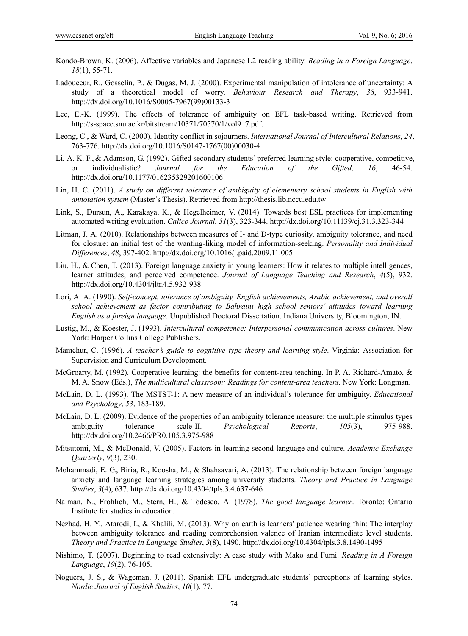- Kondo-Brown, K. (2006). Affective variables and Japanese L2 reading ability. *Reading in a Foreign Language*, *18*(1), 55-71.
- Ladouceur, R., Gosselin, P., & Dugas, M. J. (2000). Experimental manipulation of intolerance of uncertainty: A study of a theoretical model of worry. *Behaviour Research and Therapy*, *38*, 933-941. http://dx.doi.org/10.1016/S0005-7967(99)00133-3
- Lee, E.-K. (1999). The effects of tolerance of ambiguity on EFL task-based writing. Retrieved from http://s-space.snu.ac.kr/bitstream/10371/70570/1/vol9\_7.pdf.
- Leong, C., & Ward, C. (2000). Identity conflict in sojourners. *International Journal of Intercultural Relations*, *24*, 763-776. http://dx.doi.org/10.1016/S0147-1767(00)00030-4
- Li, A. K. F., & Adamson, G. (1992). Gifted secondary students' preferred learning style: cooperative, competitive, or individualistic? *Journal for the Education of the Gifted, 16*, 46-54. http://dx.doi.org/10.1177/016235329201600106
- Lin, H. C. (2011). *A study on different tolerance of ambiguity of elementary school students in English with annotation system* (Master's Thesis). Retrieved from http://thesis.lib.nccu.edu.tw
- Link, S., Dursun, A., Karakaya, K., & Hegelheimer, V. (2014). Towards best ESL practices for implementing automated writing evaluation. *Calico Journal*, *31*(3), 323-344. http://dx.doi.org/10.11139/cj.31.3.323-344
- Litman, J. A. (2010). Relationships between measures of I- and D-type curiosity, ambiguity tolerance, and need for closure: an initial test of the wanting-liking model of information-seeking. *Personality and Individual Differences*, *48*, 397-402. http://dx.doi.org/10.1016/j.paid.2009.11.005
- Liu, H., & Chen, T. (2013). Foreign language anxiety in young learners: How it relates to multiple intelligences, learner attitudes, and perceived competence. *Journal of Language Teaching and Research*, *4*(5), 932. http://dx.doi.org/10.4304/jltr.4.5.932-938
- Lori, A. A. (1990). *Self-concept, tolerance of ambiguity, English achievements, Arabic achievement, and overall school achievement as factor contributing to Bahraini high school seniors' attitudes toward learning English as a foreign language*. Unpublished Doctoral Dissertation. Indiana University, Bloomington, IN.
- Lustig, M., & Koester, J. (1993). *Intercultural competence: Interpersonal communication across cultures*. New York: Harper Collins College Publishers.
- Mamchur, C. (1996). *A teacher's guide to cognitive type theory and learning style*. Virginia: Association for Supervision and Curriculum Development.
- McGroarty, M. (1992). Cooperative learning: the benefits for content-area teaching. In P. A. Richard-Amato, & M. A. Snow (Eds.), *The multicultural classroom: Readings for content-area teachers*. New York: Longman.
- McLain, D. L. (1993). The MSTST-1: A new measure of an individual's tolerance for ambiguity. *Educational and Psychology*, *53*, 183-189.
- McLain, D. L. (2009). Evidence of the properties of an ambiguity tolerance measure: the multiple stimulus types ambiguity tolerance scale-II. *Psychological Reports*, *105*(3), 975-988. http://dx.doi.org/10.2466/PR0.105.3.975-988
- Mitsutomi, M., & McDonald, V. (2005). Factors in learning second language and culture. *Academic Exchange Quarterly*, *9*(3), 230.
- Mohammadi, E. G., Biria, R., Koosha, M., & Shahsavari, A. (2013). The relationship between foreign language anxiety and language learning strategies among university students. *Theory and Practice in Language Studies*, *3*(4), 637. http://dx.doi.org/10.4304/tpls.3.4.637-646
- Naiman, N., Frohlich, M., Stern, H., & Todesco, A. (1978). *The good language learner*. Toronto: Ontario Institute for studies in education.
- Nezhad, H. Y., Atarodi, I., & Khalili, M. (2013). Why on earth is learners' patience wearing thin: The interplay between ambiguity tolerance and reading comprehension valence of Iranian intermediate level students. *Theory and Practice in Language Studies*, *3*(8), 1490. http://dx.doi.org/10.4304/tpls.3.8.1490-1495
- Nishimo, T. (2007). Beginning to read extensively: A case study with Mako and Fumi. *Reading in A Foreign Language*, *19*(2), 76-105.
- Noguera, J. S., & Wageman, J. (2011). Spanish EFL undergraduate students' perceptions of learning styles. *Nordic Journal of English Studies*, *10*(1), 77.